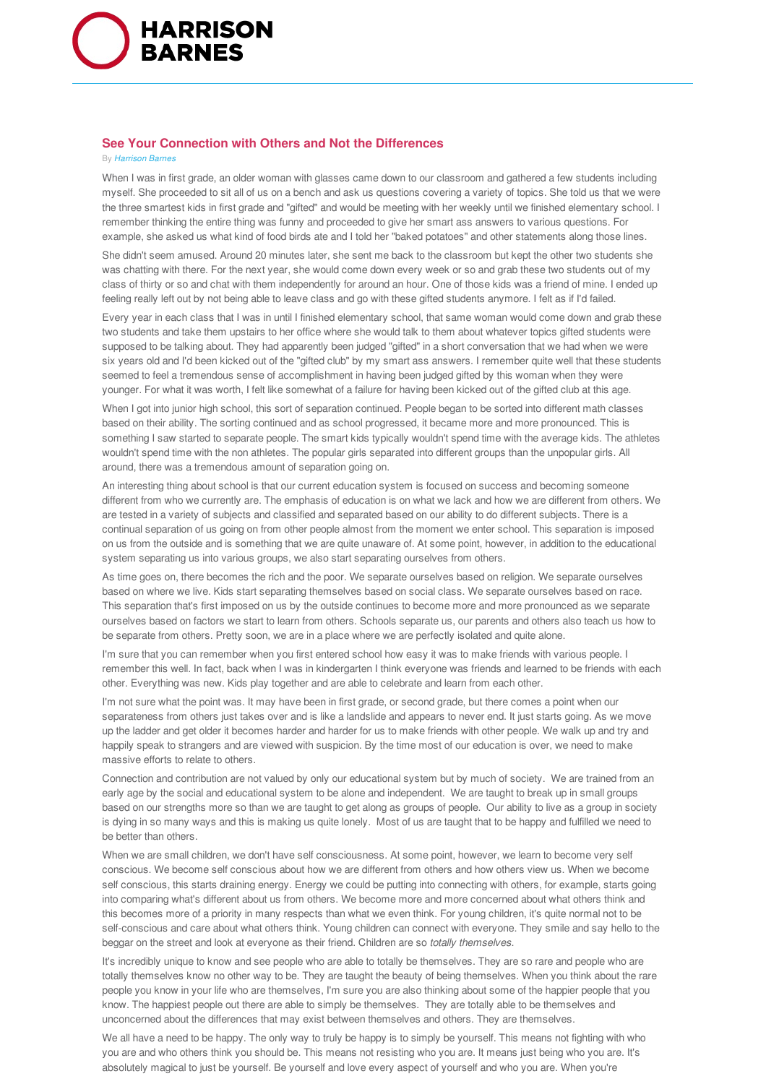

## **See Your Connection with Others and Not the Differences**

## By *Harrison Barnes*

When I was in first grade, an older woman with glasses came down to our classroom and gathered a few students including myself. She proceeded to sit all of us on a bench and ask us questions covering a variety of topics. She told us that we were the three smartest kids in first grade and "gifted" and would be meeting with her weekly until we finished elementary school. I remember thinking the entire thing was funny and proceeded to give her smart ass answers to various questions. For example, she asked us what kind of food birds ate and I told her "baked potatoes" and other statements along those lines.

She didn't seem amused. Around 20 minutes later, she sent me back to the classroom but kept the other two students she was chatting with there. For the next year, she would come down every week or so and grab these two students out of my class of thirty or so and chat with them independently for around an hour. One of those kids was a friend of mine. I ended up feeling really left out by not being able to leave class and go with these gifted students anymore. I felt as if I'd failed.

Every year in each class that I was in until I finished elementary school, that same woman would come down and grab these two students and take them upstairs to her office where she would talk to them about whatever topics gifted students were supposed to be talking about. They had apparently been judged "gifted" in a short conversation that we had when we were six years old and I'd been kicked out of the "gifted club" by my smart ass answers. I remember quite well that these students seemed to feel a tremendous sense of accomplishment in having been judged gifted by this woman when they were younger. For what it was worth, I felt like somewhat of a failure for having been kicked out of the gifted club at this age.

When I got into junior high school, this sort of separation continued. People began to be sorted into different math classes based on their ability. The sorting continued and as school progressed, it became more and more pronounced. This is something I saw started to separate people. The smart kids typically wouldn't spend time with the average kids. The athletes wouldn't spend time with the non athletes. The popular girls separated into different groups than the unpopular girls. All around, there was a tremendous amount of separation going on.

An interesting thing about school is that our current education system is focused on success and becoming someone different from who we currently are. The emphasis of education is on what we lack and how we are different from others. We are tested in a variety of subjects and classified and separated based on our ability to do different subjects. There is a continual separation of us going on from other people almost from the moment we enter school. This separation is imposed on us from the outside and is something that we are quite unaware of. At some point, however, in addition to the educational system separating us into various groups, we also start separating ourselves from others.

As time goes on, there becomes the rich and the poor. We separate ourselves based on religion. We separate ourselves based on where we live. Kids start separating themselves based on social class. We separate ourselves based on race. This separation that's first imposed on us by the outside continues to become more and more pronounced as we separate ourselves based on factors we start to learn from others. Schools separate us, our parents and others also teach us how to be separate from others. Pretty soon, we are in a place where we are perfectly isolated and quite alone.

I'm sure that you can remember when you first entered school how easy it was to make friends with various people. I remember this well. In fact, back when I was in kindergarten I think everyone was friends and learned to be friends with each other. Everything was new. Kids play together and are able to celebrate and learn from each other.

I'm not sure what the point was. It may have been in first grade, or second grade, but there comes a point when our separateness from others just takes over and is like a landslide and appears to never end. It just starts going. As we move up the ladder and get older it becomes harder and harder for us to make friends with other people. We walk up and try and happily speak to strangers and are viewed with suspicion. By the time most of our education is over, we need to make massive efforts to relate to others.

Connection and contribution are not valued by only our educational system but by much of society. We are trained from an early age by the social and educational system to be alone and independent. We are taught to break up in small groups based on our strengths more so than we are taught to get along as groups of people. Our ability to live as a group in society is dying in so many ways and this is making us quite lonely. Most of us are taught that to be happy and fulfilled we need to be better than others.

When we are small children, we don't have self consciousness. At some point, however, we learn to become very self conscious. We become self conscious about how we are different from others and how others view us. When we become self conscious, this starts draining energy. Energy we could be putting into connecting with others, for example, starts going into comparing what's different about us from others. We become more and more concerned about what others think and this becomes more of a priority in many respects than what we even think. For young children, it's quite normal not to be self-conscious and care about what others think. Young children can connect with everyone. They smile and say hello to the beggar on the street and look at everyone as their friend. Children are so *totally themselves*.

It's incredibly unique to know and see people who are able to totally be themselves. They are so rare and people who are totally themselves know no other way to be. They are taught the beauty of being themselves. When you think about the rare people you know in your life who are themselves, I'm sure you are also thinking about some of the happier people that you know. The happiest people out there are able to simply be themselves. They are totally able to be themselves and unconcerned about the differences that may exist between themselves and others. They are themselves.

We all have a need to be happy. The only way to truly be happy is to simply be yourself. This means not fighting with who you are and who others think you should be. This means not resisting who you are. It means just being who you are. It's absolutely magical to just be yourself. Be yourself and love every aspect of yourself and who you are. When you're